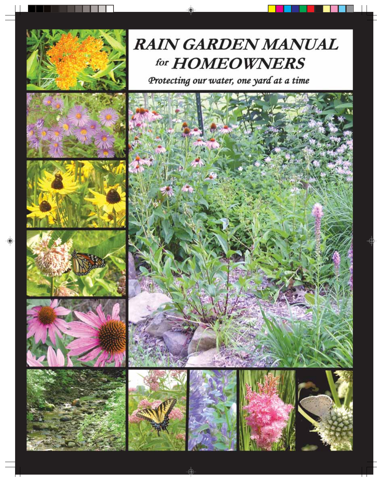

## **RAIN GARDEN MANUAL** for **HOMEOWNERS**

Protecting our water, one yard at a time



















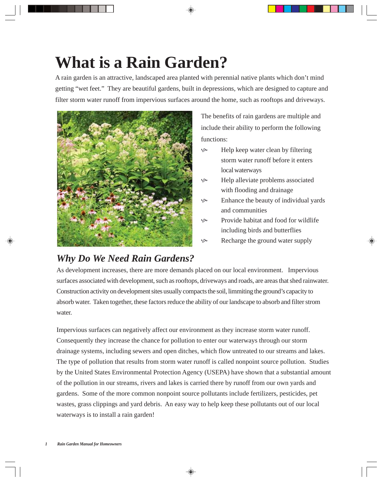## **What is a Rain Garden?**

A rain garden is an attractive, landscaped area planted with perennial native plants which don't mind getting "wet feet." They are beautiful gardens, built in depressions, which are designed to capture and filter storm water runoff from impervious surfaces around the home, such as rooftops and driveways.



The benefits of rain gardens are multiple and include their ability to perform the following functions:

- $\&$  Help keep water clean by filtering storm water runoff before it enters local waterways
- Felp alleviate problems associated with flooding and drainage
- $\&$  Enhance the beauty of individual yards and communities
- $\&$  Provide habitat and food for wildlife including birds and butterflies
- Recharge the ground water supply

### *Why Do We Need Rain Gardens?*

As development increases, there are more demands placed on our local environment. Impervious surfaces associated with development, such as rooftops, driveways and roads, are areas that shed rainwater. Construction activity on development sites usually compacts the soil, limmiting the ground's capacity to absorb water. Taken together, these factors reduce the ability of our landscape to absorb and filter strom water.

Impervious surfaces can negatively affect our environment as they increase storm water runoff. Consequently they increase the chance for pollution to enter our waterways through our storm drainage systems, including sewers and open ditches, which flow untreated to our streams and lakes. The type of pollution that results from storm water runoff is called nonpoint source pollution. Studies by the United States Environmental Protection Agency (USEPA) have shown that a substantial amount of the pollution in our streams, rivers and lakes is carried there by runoff from our own yards and gardens. Some of the more common nonpoint source pollutants include fertilizers, pesticides, pet wastes, grass clippings and yard debris. An easy way to help keep these pollutants out of our local waterways is to install a rain garden!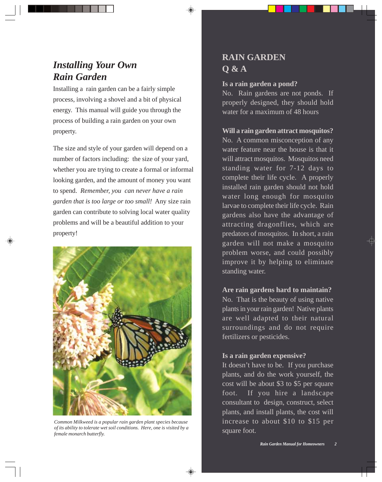### *Installing Your Own Rain Garden*

Installing a rain garden can be a fairly simple process, involving a shovel and a bit of physical energy. This manual will guide you through the process of building a rain garden on your own property.

The size and style of your garden will depend on a number of factors including: the size of your yard, whether you are trying to create a formal or informal looking garden, and the amount of money you want to spend. *Remember, you can never have a rain garden that is too large or too small!* Any size rain garden can contribute to solving local water quality problems and will be a beautiful addition to your property!



*Common Milkweed is a popular rain garden plant species because of its ability to tolerate wet soil conditions. Here, one is visited by a female monarch butterfly.*

## **RAIN GARDEN Q & A**

#### **Is a rain garden a pond?**

No. Rain gardens are not ponds. If properly designed, they should hold water for a maximum of 48 hours

#### **Will a rain garden attract mosquitos?**

No. A common misconception of any water feature near the house is that it will attract mosquitos. Mosquitos need standing water for 7-12 days to complete their life cycle. A properly installed rain garden should not hold water long enough for mosquito larvae to complete their life cycle. Rain gardens also have the advantage of attracting dragonflies, which are predators of mosquitos. In short, a rain garden will not make a mosquito problem worse, and could possibly improve it by helping to eliminate standing water.

#### **Are rain gardens hard to maintain?**

No. That is the beauty of using native plants in your rain garden! Native plants are well adapted to their natural surroundings and do not require fertilizers or pesticides.

#### **Is a rain garden expensive?**

It doesn't have to be. If you purchase plants, and do the work yourself, the cost will be about \$3 to \$5 per square foot. If you hire a landscape consultant to design, construct, select plants, and install plants, the cost will increase to about \$10 to \$15 per square foot.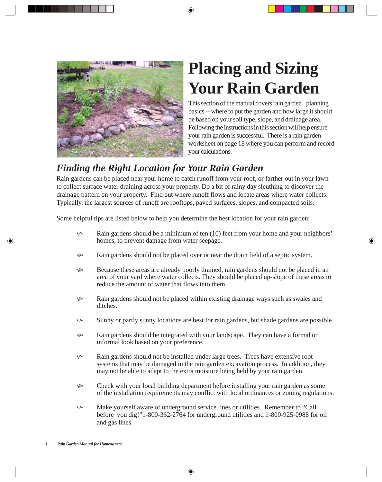

## **Placing and Sizing Your Rain Garden**

This section of the manual covers rain garden planning basics -- where to put the garden and how large it should be based on your soil type, slope, and drainage area. Following the instructions in this section will help ensure your rain garden is successful. There is a rain garden worksheet on page 18 where you can perform and record your calculations.

## *Finding the Right Location for Your Rain Garden*

Rain gardens can be placed near your home to catch runoff from your roof, or farther out in your lawn to collect surface water draining across your property. Do a bit of rainy day sleuthing to discover the drainage pattern on your property. Find out where runoff flows and locate areas where water collects. Typically, the largest sources of runoff are rooftops, paved surfaces, slopes, and compacted soils.

Some helpful tips are listed below to help you determine the best location for your rain garden:

- $\Diamond$  Rain gardens should be a minimum of ten (10) feet from your home and your neighbors' homes, to prevent damage from water seepage.
- So Rain gardens should not be placed over or near the drain field of a septic system.
- $\&$  Because these areas are already poorly drained, rain gardens should not be placed in an area of your yard where water collects. They should be placed up-slope of these areas to reduce the amount of water that flows into them.
- $\&$  Rain gardens should not be placed within existing drainage ways such as swales and ditches.
- $\&$  Sunny or partly sunny locations are best for rain gardens, but shade gardens are possible.
- Rain gardens should be integrated with your landscape. They can have a formal or informal look based on your preference.
- Rain gardens should not be installed under large trees. Trees have extensive root systems that may be damaged in the rain garden excavation process. In addition, they may not be able to adapt to the extra moisture being held by your rain garden.
- $\&$  Check with your local building department before installing your rain garden as some of the installation requirements may conflict with local ordinances or zoning regulations.
- K Make yourself aware of underground service lines or utilities. Remember to "Call before you dig!"1-800-362-2764 for underground utilities and 1-800-925-0988 for oil and gas lines.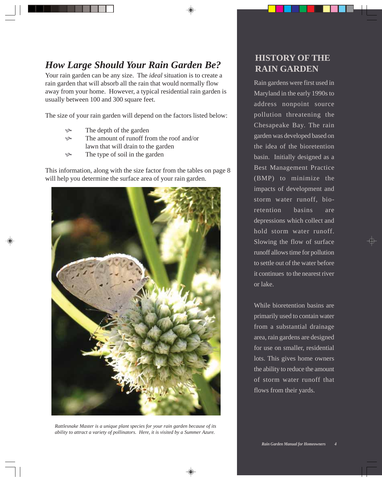## *How Large Should Your Rain Garden Be?*

Your rain garden can be any size. The *ideal* situation is to create a rain garden that will absorb all the rain that would normally flow away from your home. However, a typical residential rain garden is usually between 100 and 300 square feet.

The size of your rain garden will depend on the factors listed below:

- $\Diamond$  The depth of the garden
- $\Diamond$  The amount of runoff from the roof and/or lawn that will drain to the garden
- $\&$  The type of soil in the garden

This information, along with the size factor from the tables on page 8 will help you determine the surface area of your rain garden.



*Rattlesnake Master is a unique plant species for your rain garden because of its ability to attract a variety of pollinators. Here, it is visited by a Summer Azure.*

### **HISTORY OF THE RAIN GARDEN**

Rain gardens were first used in Maryland in the early 1990s to address nonpoint source pollution threatening the Chesapeake Bay. The rain garden was developed based on the idea of the bioretention basin. Initially designed as a Best Management Practice (BMP) to minimize the impacts of development and storm water runoff, bioretention basins are depressions which collect and hold storm water runoff. Slowing the flow of surface runoff allows time for pollution to settle out of the water before it continues to the nearest river or lake.

While bioretention basins are primarily used to contain water from a substantial drainage area, rain gardens are designed for use on smaller, residential lots. This gives home owners the ability to reduce the amount of storm water runoff that flows from their yards.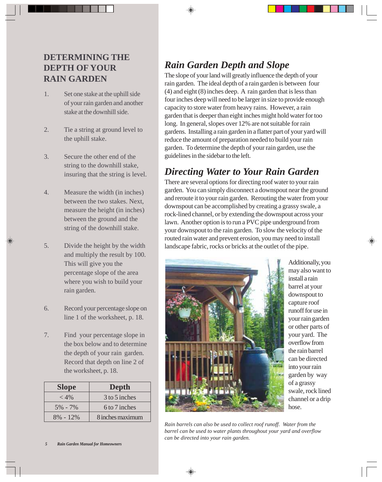#### **DETERMINING THE DEPTH OF YOUR RAIN GARDEN**

- 1. Set one stake at the uphill side of your rain garden and another stake at the downhill side.
- 2. Tie a string at ground level to the uphill stake.
- 3. Secure the other end of the string to the downhill stake, insuring that the string is level.
- 4. Measure the width (in inches) between the two stakes. Next, measure the height (in inches) between the ground and the string of the downhill stake.
- 5. Divide the height by the width and multiply the result by 100. This will give you the percentage slope of the area where you wish to build your rain garden.
- 6. Record your percentage slope on line 1 of the worksheet, p. 18.
- 7. Find your percentage slope in the box below and to determine the depth of your rain garden. Record that depth on line 2 of the worksheet, p. 18.

| <b>Slope</b> | Depth            |
|--------------|------------------|
| $<$ 4%       | 3 to 5 inches    |
| $5\% - 7\%$  | 6 to 7 inches    |
| $8\% - 12\%$ | 8 inches maximum |

## *Rain Garden Depth and Slope*

The slope of your land will greatly influence the depth of your rain garden. The ideal depth of a rain garden is between four (4) and eight (8) inches deep. A rain garden that is less than four inches deep will need to be larger in size to provide enough capacity to store water from heavy rains. However, a rain garden that is deeper than eight inches might hold water for too long. In general, slopes over 12% are not suitable for rain gardens. Installing a rain garden in a flatter part of your yard will reduce the amount of preparation needed to build your rain garden. To determine the depth of your rain garden, use the guidelines in the sidebar to the left.

## *Directing Water to Your Rain Garden*

There are several options for directing roof water to your rain garden. You can simply disconnect a downspout near the ground and reroute it to your rain garden. Rerouting the water from your downspout can be accomplished by creating a grassy swale, a rock-lined channel, or by extending the downspout across your lawn. Another option is to run a PVC pipe underground from your downspout to the rain garden. To slow the velocity of the routed rain water and prevent erosion, you may need to install landscape fabric, rocks or bricks at the outlet of the pipe.



Additionally, you may also want to install a rain barrel at your downspout to capture roof runoff for use in your rain garden or other parts of your yard. The overflow from the rain barrel can be directed into your rain garden by way of a grassy swale, rock lined channel or a drip hose.

*Rain barrels can also be used to collect roof runoff. Water from the barrel can be used to water plants throughout your yard and overflow can be directed into your rain garden.*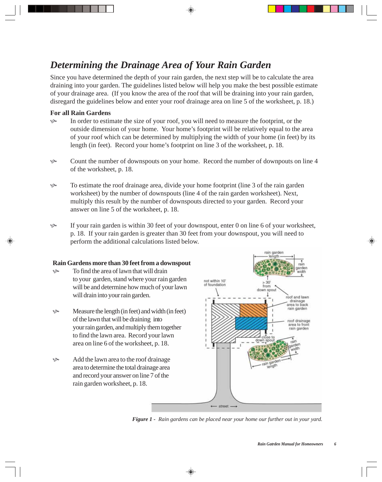### *Determining the Drainage Area of Your Rain Garden*

Since you have determined the depth of your rain garden, the next step will be to calculate the area draining into your garden. The guidelines listed below will help you make the best possible estimate of your drainage area. (If you know the area of the roof that will be draining into your rain garden, disregard the guidelines below and enter your roof drainage area on line 5 of the worksheet, p. 18.)

#### **For all Rain Gardens**

- $\&$  In order to estimate the size of your roof, you will need to measure the footprint, or the outside dimension of your home. Your home's footprint will be relatively equal to the area of your roof which can be determined by multiplying the width of your home (in feet) by its length (in feet). Record your home's footprint on line 3 of the worksheet, p. 18.
- Equal the number of downspouts on your home. Record the number of downpouts on line 4 of the worksheet, p. 18.
- K To estimate the roof drainage area, divide your home footprint (line 3 of the rain garden worksheet) by the number of downspouts (line 4 of the rain garden worksheet). Next, multiply this result by the number of downspouts directed to your garden. Record your answer on line 5 of the worksheet, p. 18.
- $\&$  If your rain garden is within 30 feet of your downspout, enter 0 on line 6 of your worksheet, p. 18. If your rain garden is greater than 30 feet from your downspout, you will need to perform the additional calculations listed below.

#### **Rain Gardens more than 30 feet from a downspout**

- $\&$  To find the area of lawn that will drain to your garden, stand where your rain garden will be and determine how much of your lawn will drain into your rain garden.
- $\&$  Measure the length (in feet) and width (in feet) of the lawn that will be draining into your rain garden, and multiply them together to find the lawn area. Record your lawn area on line 6 of the worksheet, p. 18.
- $\&$  Add the lawn area to the roof drainage area to determine the total drainage area and record your answer on line 7 of the rain garden worksheet, p. 18.



*Figure 1 - Rain gardens can be placed near your home our further out in your yard.*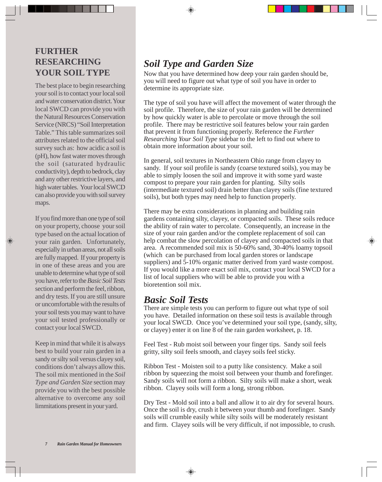#### **FURTHER RESEARCHING YOUR SOIL TYPE**

The best place to begin researching your soil is to contact your local soil and water conservation district. Your local SWCD can provide you with the Natural Resources Conservation Service (NRCS) "Soil Interpretation Table." This table summarizes soil attributes related to the official soil survey such as: how acidic a soil is (pH), how fast water moves through the soil (saturated hydraulic conductivity), depth to bedrock, clay and any other restrictive layers, and high water tables. Your local SWCD can also provide you with soil survey maps.

If you find more than one type of soil on your property, choose your soil type based on the actual location of your rain garden. Unfortunately, especially in urban areas, not all soils are fully mapped. If your property is in one of these areas and you are unable to determine what type of soil you have, refer to the *Basic Soil Tests* section and perform the feel, ribbon, and dry tests. If you are still unsure or uncomfortable with the results of your soil tests you may want to have your soil tested professionally or contact your local SWCD.

Keep in mind that while it is always best to build your rain garden in a sandy or silty soil versus clayey soil, conditions don't always allow this. The soil mix mentioned in the *Soil Type and Garden Size* section may provide you with the best possible alternative to overcome any soil limmitations present in your yard.

## *Soil Type and Garden Size*

Now that you have determined how deep your rain garden should be, you will need to figure out what type of soil you have in order to determine its appropriate size.

The type of soil you have will affect the movement of water through the soil profile. Therefore, the size of your rain garden will be determined by how quickly water is able to percolate or move through the soil profile. There may be restrictive soil features below your rain garden that prevent it from functioning properly. Reference the *Further Researching Your Soil Type* sidebar to the left to find out where to obtain more information about your soil.

In general, soil textures in Northeastern Ohio range from clayey to sandy. If your soil profile is sandy (coarse textured soils), you may be able to simply loosen the soil and improve it with some yard waste compost to prepare your rain garden for planting. Silty soils (intermediate textured soil) drain better than clayey soils (fine textured soils), but both types may need help to function properly.

There may be extra considerations in planning and building rain gardens containing silty, clayey, or compacted soils. These soils reduce the ability of rain water to percolate. Consequently, an increase in the size of your rain garden and/or the complete replacement of soil can help combat the slow percolation of clayey and compacted soils in that area. A recommended soil mix is 50-60% sand, 30-40% loamy topsoil (which can be purchased from local garden stores or landscape suppliers) and 5-10% organic matter derived from yard waste compost. If you would like a more exact soil mix, contact your local SWCD for a list of local suppliers who will be able to provide you with a bioretention soil mix.

#### *Basic Soil Tests*

There are simple tests you can perform to figure out what type of soil you have. Detailed information on these soil tests is available through your local SWCD. Once you've determined your soil type, (sandy, silty, or clayey) enter it on line 8 of the rain garden worksheet, p. 18.

Feel Test - Rub moist soil between your finger tips. Sandy soil feels gritty, silty soil feels smooth, and clayey soils feel sticky.

Ribbon Test - Moisten soil to a putty like consistency. Make a soil ribbon by squeezing the moist soil between your thumb and forefinger. Sandy soils will not form a ribbon. Silty soils will make a short, weak ribbon. Clayey soils will form a long, strong ribbon.

Dry Test - Mold soil into a ball and allow it to air dry for several hours. Once the soil is dry, crush it between your thumb and forefinger. Sandy soils will crumble easily while silty soils will be moderately resistant and firm. Clayey soils will be very difficult, if not impossible, to crush.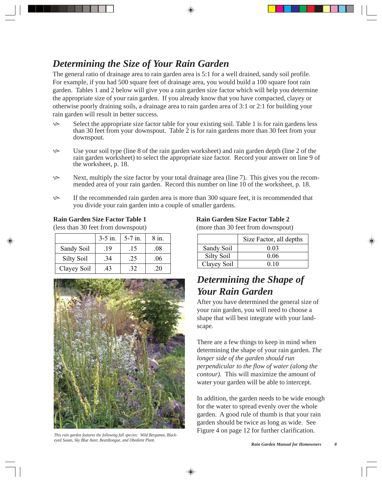## *Determining the Size of Your Rain Garden*

The general ratio of drainage area to rain garden area is 5:1 for a well drained, sandy soil profile. For example, if you had 500 square feet of drainage area, you would build a 100 square foot rain garden. Tables 1 and 2 below will give you a rain garden size factor which will help you determine the appropriate size of your rain garden. If you already know that you have compacted, clayey or otherwise poorly draining soils, a drainage area to rain garden area of 3:1 or 2:1 for building your rain garden will result in better success.

- $\&$  Select the appropriate size factor table for your existing soil. Table 1 is for rain gardens less than 30 feet from your downspout. Table 2 is for rain gardens more than 30 feet from your downspout.
- $\&$  Use your soil type (line 8 of the rain garden worksheet) and rain garden depth (line 2 of the rain garden worksheet) to select the appropriate size factor. Record your answer on line 9 of the worksheet, p. 18.
- Solution Next, multiply the size factor by your total drainage area (line 7). This gives you the recommended area of your rain garden. Record this number on line 10 of the worksheet, p. 18.
- $\&$  If the recommended rain garden area is more than 300 square feet, it is recommended that you divide your rain garden into a couple of smaller gardens.

#### **Rain Garden Size Factor Table 1**

(less than 30 feet from downspout)

|                   | $3-5$ in. | $5-7$ in. | 8 in. |
|-------------------|-----------|-----------|-------|
| Sandy Soil        | .19       | .15       | .08   |
| <b>Silty Soil</b> | .34       | .25       | .06   |
| Clayey Soil       | 43        | .32       | -20   |



*This rain garden features the following fall species: Wild Bergamot, Blackeyed Susan, Sky Blue Aster, Beardtongue, and Obedient Plant. Rain Garden Manual for Homowners 8*

#### **Rain Garden Size Factor Table 2**

(more than 30 feet from downspout)

|             | Size Factor, all depths |
|-------------|-------------------------|
| Sandy Soil  | 0.03                    |
| Silty Soil  | 0.06                    |
| Clayey Soil | 0.10                    |

## *Determining the Shape of Your Rain Garden*

After you have determined the general size of your rain garden, you will need to choose a shape that will best integrate with your landscape.

There are a few things to keep in mind when determining the shape of your rain garden. *The longer side of the garden should run perpendicular to the flow of water (along the contour).* This will maximize the amount of water your garden will be able to intercept.

In addition, the garden needs to be wide enough for the water to spread evenly over the whole garden. A good rule of thumb is that your rain garden should be twice as long as wide. See Figure 4 on page 12 for further clarification.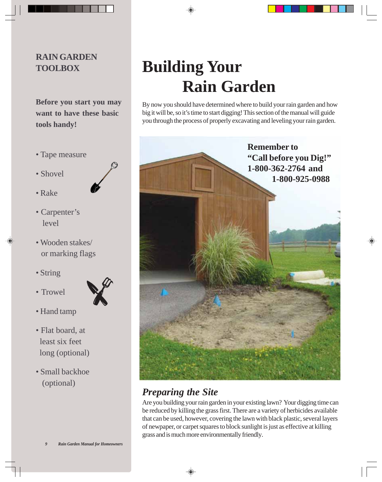#### **RAIN GARDEN TOOLBOX**

**Before you start you may want to have these basic tools handy!**

- Tape measure
- Shovel
- Rake
- Carpenter's level
- Wooden stakes/ or marking flags
- String
- Trowel



- Hand tamp
- Flat board, at least six feet long (optional)
- Small backhoe (optional)

# **Building Your Rain Garden**

By now you should have determined where to build your rain garden and how big it will be, so it's time to start digging! This section of the manual will guide you through the process of properly excavating and leveling your rain garden.



## *Preparing the Site*

Are you building your rain garden in your existing lawn? Your digging time can be reduced by killing the grass first. There are a variety of herbicides available that can be used, however, covering the lawn with black plastic, several layers of newpaper, or carpet squares to block sunlight is just as effective at killing grass and is much more environmentally friendly.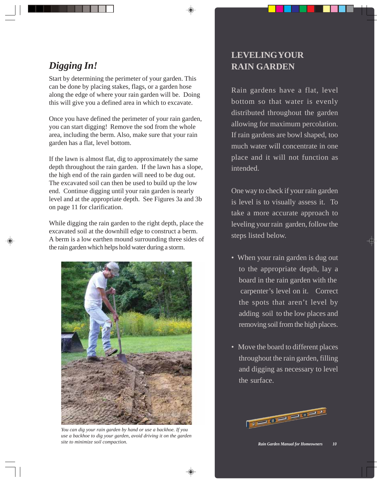## *Digging In!*

Start by determining the perimeter of your garden. This can be done by placing stakes, flags, or a garden hose along the edge of where your rain garden will be. Doing this will give you a defined area in which to excavate.

Once you have defined the perimeter of your rain garden, you can start digging! Remove the sod from the whole area, including the berm. Also, make sure that your rain garden has a flat, level bottom.

If the lawn is almost flat, dig to approximately the same depth throughout the rain garden. If the lawn has a slope, the high end of the rain garden will need to be dug out. The excavated soil can then be used to build up the low end. Continue digging until your rain garden is nearly level and at the appropriate depth. See Figures 3a and 3b on page 11 for clarification.

While digging the rain garden to the right depth, place the excavated soil at the downhill edge to construct a berm. A berm is a low earthen mound surrounding three sides of the rain garden which helps hold water during a storm.



*You can dig your rain garden by hand or use a backhoe. If you use a backhoe to dig your garden, avoid driving it on the garden site to minimize soil compaction.*<br>*Rain Garden Manual for Homeowners* 10

## **LEVELING YOUR RAIN GARDEN**

Rain gardens have a flat, level bottom so that water is evenly distributed throughout the garden allowing for maximum percolation. If rain gardens are bowl shaped, too much water will concentrate in one place and it will not function as intended.

One way to check if your rain garden is level is to visually assess it. To take a more accurate approach to leveling your rain garden, follow the steps listed below.

- When your rain garden is dug out to the appropriate depth, lay a board in the rain garden with the carpenter's level on it. Correct the spots that aren't level by adding soil to the low places and removing soil from the high places.
- Move the board to different places throughout the rain garden, filling and digging as necessary to level the surface.

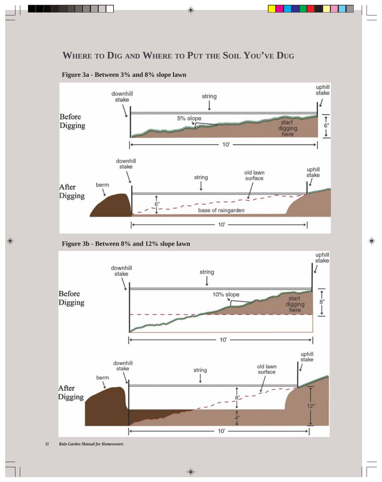### **WHERE TO DIG AND WHERE TO PUT THE SOIL YOU'VE DUG**



**Figure 3a - Between 3% and 8% slope lawn**



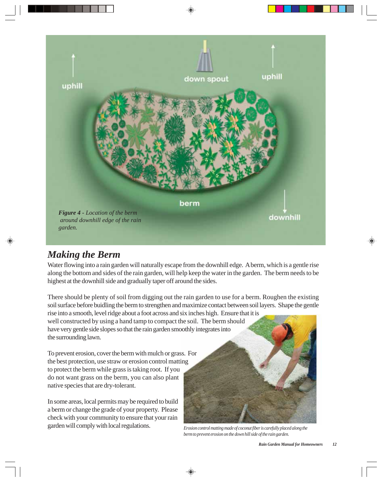

### *Making the Berm*

Water flowing into a rain garden will naturally escape from the downhill edge. A berm, which is a gentle rise along the bottom and sides of the rain garden, will help keep the water in the garden. The berm needs to be highest at the downhill side and gradually taper off around the sides.

There should be plenty of soil from digging out the rain garden to use for a berm. Roughen the existing soil surface before buidling the berm to strengthen and maximize contact between soil layers. Shape the gentle rise into a smooth, level ridge about a foot across and six inches high. Ensure that it is

well constructed by using a hand tamp to compact the soil. The berm should have very gentle side slopes so that the rain garden smoothly integrates into the surrounding lawn.

To prevent erosion, cover the berm with mulch or grass. For the best protection, use straw or erosion control matting to protect the berm while grass is taking root. If you do not want grass on the berm, you can also plant native species that are dry-tolerant.

In some areas, local permits may be required to build a berm or change the grade of your property. Please check with your community to ensure that your rain garden will comply with local regulations.



*Erosion control matting made of coconut fiber is carefully placed along the berm to prevent erosion on the down hill side of the rain garden.*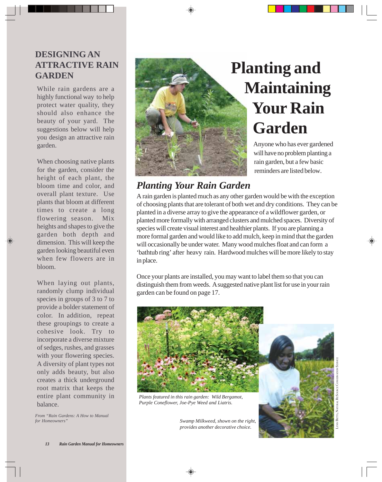#### **DESIGNING AN ATTRACTIVE RAIN GARDEN**

While rain gardens are a highly functional way to help protect water quality, they should also enhance the beauty of your yard. The suggestions below will help you design an attractive rain garden.

When choosing native plants for the garden, consider the height of each plant, the bloom time and color, and overall plant texture. Use plants that bloom at different times to create a long flowering season. Mix heights and shapes to give the garden both depth and dimension. This will keep the garden looking beautiful even when few flowers are in bloom.

When laying out plants, randomly clump individual species in groups of 3 to 7 to provide a bolder statement of color. In addition, repeat these groupings to create a cohesive look. Try to incorporate a diverse mixture of sedges, rushes, and grasses with your flowering species. A diversity of plant types not only adds beauty, but also creates a thick underground root matrix that keeps the entire plant community in balance.

*From "Rain Gardens: A How to Manual for Homeowners"*



## **Planting and Maintaining Your Rain Garden**

Anyone who has ever gardened will have no problem planting a rain garden, but a few basic reminders are listed below.

### *Planting Your Rain Garden*

A rain garden is planted much as any other garden would be with the exception of choosing plants that are tolerant of both wet and dry conditions. They can be planted in a diverse array to give the appearance of a wildflower garden, or planted more formally with arranged clusters and mulched spaces. Diversity of species will create visual interest and healthier plants. If you are planning a more formal garden and would like to add mulch, keep in mind that the garden will occasionally be under water. Many wood mulches float and can form a 'bathtub ring' after heavy rain. Hardwood mulches will be more likely to stay in place.

Once your plants are installed, you may want to label them so that you can distinguish them from weeds. A suggested native plant list for use in your rain garden can be found on page 17.



*Plants featured in this rain garden: Wild Bergamot, Purple Coneflower, Joe-Pye Weed and Liatris.*

*Swamp Milkweed, shown on the right,*

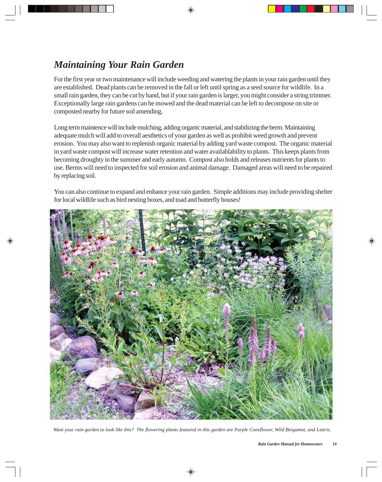## *Maintaining Your Rain Garden*

For the first year or two maintenance will include weeding and watering the plants in your rain garden until they are established. Dead plants can be removed in the fall or left until spring as a seed source for wildlife. In a small rain garden, they can be cut by hand, but if your rain garden is larger, you might consider a string trimmer. Exceptionally large rain gardens can be mowed and the dead material can be left to decompose on site or composted nearby for future soil amending.

Long term maintence will include mulching, adding organic material, and stabilizing the berm. Maintaining adequate mulch will add to overall aesthetics of your garden as well as prohibit weed growth and prevent erosion. You may also want to replenish organic material by adding yard waste compost. The organic material in yard waste compost will increase water retention and water availablability to plants. This keeps plants from becoming droughty in the summer and early autumn. Compost also holds and releases nutrients for plants to use. Berms will need to inspected for soil erosion and animal damage. Damaged areas will need to be repaired by replacing soil.

You can also continue to expand and enhance your rain garden. Simple additions may include providing shelter for local wildlife such as bird nesting boxes, and toad and butterfly houses!



*Want your rain garden to look like this? The flowering plants featured in this garden are Purple Coneflower, Wild Bergamot, and Liatris.*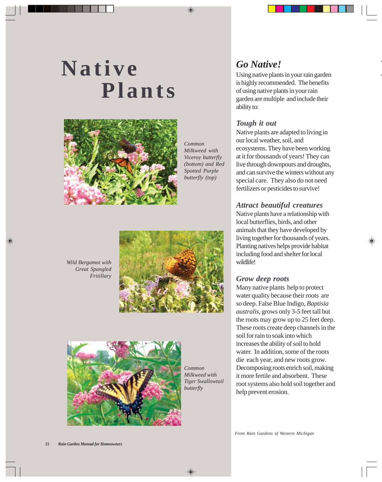# **Native Plants**



*Common Milkweed with Viceroy butterfly (bottom) and Red Spotted Purple butterfly (top)*

**I** *Go Native!* Using native plants in your rain garden is highly recommended. The benefits of using native plants in your rain garden are multiple and include their ability to:

#### *Tough it out*

Native plants are adapted to living in our local weather, soil, and ecosystems. They have been working at it for thousands of years! They can live through downpours and droughts, and can survive the winters without any special care. They also do not need fertilizers or pesticides to survive!

#### *Attract beautiful creatures*

Native plants have a relationship with local butterflies, birds, and other animals that they have developed by living together for thousands of years. Planting natives helps provide habitat including food and shelter for local wildlife!

#### *Grow deep roots*

Many native plants help to protect water quality because their roots are so deep. False Blue Indigo, *Baptisia australis*, grows only 3-5 feet tall but the roots may grow up to 25 feet deep. These roots create deep channels in the soil for rain to soak into which increases the ability of soil to hold water. In addition, some of the roots die each year, and new roots grow. Decomposing roots enrich soil, making it more fertile and absorbent. These root systems also hold soil together and help prevent erosion.





*Common Milkweed with Tiger Swallowtail butterfly*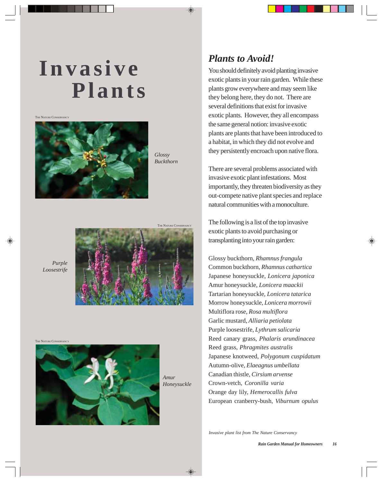# **Invasive Plants**

THE NATURE CONSERVANCY



*Glossy Buckthorn*

THE NATURE CONSERVANC





THE NATURE CONSERVANCY



*Amur Honeysuckle*

### *Plants to Avoid!*

You should definitely avoid planting invasive exotic plants in your rain garden. While these plants grow everywhere and may seem like they belong here, they do not. There are several definitions that exist for invasive exotic plants. However, they all encompass the same general notion: invasive exotic plants are plants that have been introduced to a habitat, in which they did not evolve and they persistently encroach upon native flora.

There are several problems associated with invasive exotic plant infestations. Most importantly, they threaten biodiversity as they out-compete native plant species and replace natural communities with a monoculture.

The following is a list of the top invasive exotic plants to avoid purchasing or transplanting into your rain garden:

Glossy buckthorn, *Rhamnus frangula* Common buckthorn, *Rhamnus cathartica* Japanese honeysuckle, *Lonicera japonica* Amur honeysuckle, *Lonicera maackii* Tartarian honeysuckle, *Lonicera tatarica* Morrow honeysuckle, *Lonicera morrowii* Multiflora rose, *Rosa multiflora* Garlic mustard, *Alliaria petiolata* Purple loosestrife, *Lythrum salicaria* Reed canary grass, *Phalaris arundinacea* Reed grass, *Phragmites australis* Japanese knotweed, *Polygonum cuspidatum* Autumn-olive, *Elaeagnus umbellata* Canadian thistle, *Cirsium arvense* Crown-vetch, *Coronilla varia* Orange day lily, *Hemerocallis fulva* European cranberry-bush, *Viburnum opulus*

*Invasive plant list from The Nature Conservancy*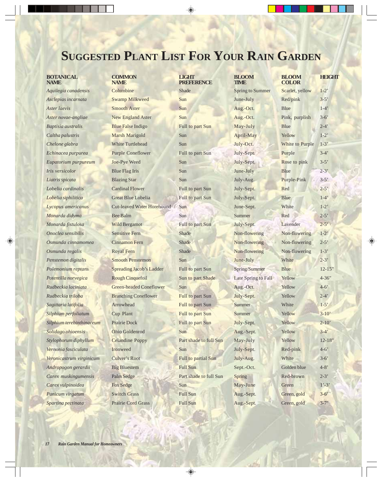## **SUGGESTED PLANT LIST FOR YOUR RAIN GARDEN**

| <b>BOTANICAL</b><br><b>NAME</b> | <b>COMMON</b><br><b>NAME</b>      | LIGHT<br><b>PREFERENCE</b> | <b>BLOOM</b><br><b>TIME</b> | <b>BLOOM</b><br><b>COLOR</b> |
|---------------------------------|-----------------------------------|----------------------------|-----------------------------|------------------------------|
| Aquilegia canadensis            | Columbine                         | <b>Shade</b>               | <b>Spring to Summer</b>     | Scarlet, y                   |
| Asclepias incarnata             | <b>Swamp Milkweed</b>             | Sun                        | June-July                   | Red/pink                     |
| Aster laevis                    | <b>Smooth Aster</b>               | Sun                        | Aug.-Oct.                   | <b>Blue</b>                  |
| Aster novae-angliae             | <b>New England Aster</b>          | Sun                        | Aug.-Oct.                   | Pink, pur                    |
| Baptisia australis              | <b>Blue False Indigo</b>          | Full to part Sun           | May-July                    | Blue                         |
| Caltha palustris                | Marsh Marigold                    | Sun                        | April-May                   | Yellow                       |
| Chelone glabra                  | <b>White Turtlehead</b>           | Sun                        | July-Oct.                   | White to                     |
| Echinacea purpurea              | <b>Purple Coneflower</b>          | Full to part Sun           | July-Sept.                  | Purple                       |
| Eupatorium purpureum            | Joe-Pye Weed                      | Sun                        | July-Sept.                  | Rose to p                    |
| Iris versicolor                 | <b>Blue Flag Iris</b>             | Sun                        | June-July                   | <b>Blue</b>                  |
| Liatris spicata                 | <b>Blazing Star</b>               | Sun                        | July-Aug.                   | Purple-Pi                    |
| Lobelia cardinalis              | <b>Cardinal Flower</b>            | Full to part Sun           | July-Sept.                  | Red                          |
| Lobelia siphilitica             | <b>Great Blue Lobelia</b>         | Full to part Sun           | July-Sept.                  | <b>Blue</b>                  |
| Lycopus americanus              | <b>Cut-leaved Water Horehound</b> | Sun                        | June-Sept.                  | White                        |
| Monarda didyma                  | <b>Bee Balm</b>                   | Sun                        | Summer                      | Red                          |
| Monarda fistulosa               | <b>Wild Bergamot</b>              | Full to part Sun           | July-Sept.                  | Lavender                     |
| Onoclea sensibilis              | <b>Sensitive Fern</b>             | <b>Shade</b>               | Non-flowering               | Non-flow                     |
| Osmunda cinnamomea              | <b>Cinnamon Fern</b>              | <b>Shade</b>               | Non-flowering               | Non-flow                     |
| Osmunda regalis                 | <b>Royal Fern</b>                 | <b>Shade</b>               | Non-flowering               | Non-flow                     |
| Penstemon digitalis             | <b>Smooth Penstemon</b>           | Sun                        | June-July                   | White                        |
| Polemonium reptans              | <b>Spreading Jacob's Ladder</b>   | Full to part Sun           | Spring/Summer               | <b>Blue</b>                  |
| Potentilla norvegica            | <b>Rough Cinquefoil</b>           | Sun to part Shade          | Late Spring to Fall         | Yellow                       |
| Rudbeckia laciniata             | <b>Green-headed Coneflower</b>    | Sun                        | Aug.-Oct.                   | Yellow                       |
| Rudbeckia triloba               | <b>Branching Coneflower</b>       | <b>Full to part Sun</b>    | July-Sept.                  | Yellow                       |
| Sagittaria latifolia            | Arrowhead                         | Full to part Sun           | <b>Summer</b>               | White                        |
| Silphium perfoliatum            | Cup Plant                         | Full to part Sun           | <b>Summer</b>               | Yellow                       |
| Silphium terebinthinaceum       | <b>Prairie Dock</b>               | Full to part Sun           | July-Sept.                  | Yellow                       |
| Solidago ohioensis              | Ohio Goldenrod                    | Sun                        | Aug.-Sept.                  | Yellow                       |
| Stylophorum diphyllum           | <b>Celandine Poppy</b>            | Part shade to full Sun     | May-July                    | Yellow                       |
| Vernonia fasciculata            | Ironweed                          | Sun                        | July-Sept.                  | Red-pink                     |
| Veronicastrum virginicum        | Culver's Root                     | Full to partial Sun        | July-Aug.                   | White                        |
| Andropogon gerardii             | <b>Big Bluestem</b>               | Full Sun                   | Sept.-Oct.                  | Golden bl                    |
| Carex muskingumensis            | Palm Sedge                        | Part shade to full Sun     | <b>Spring</b>               | Red-brov                     |
| Carex vulpinoidea               | <b>Fox Sedge</b>                  | Sun                        | May-June                    | Green                        |
| Panicum virgatum                | <b>Switch Grass</b>               | <b>Full Sun</b>            | Aug.-Sept.                  | Green, go                    |
| Sparting pectingta              | Prairie Cord Grass                | <b>Full Sun</b>            | $\Delta$ ug - Sent          | $G$ reen $\sigma$            |

| <b>BLOOM</b><br><b>TIME</b> |
|-----------------------------|
| <b>Spring to Summer</b>     |
| June-July                   |
| Aug.-Oct.                   |
| Aug.-Oct.                   |
| May-July                    |
| April-May                   |
| July-Oct.                   |
| July-Sept.                  |
| July-Sept.                  |
| June-July                   |
| July-Aug.                   |
| July-Sept.                  |
| July-Sept.                  |
| June-Sept.                  |
| Summer                      |
| July-Sept.                  |
| Non-flowering               |
| Non-flowering               |
| Non-flowering               |
| June-July                   |
| Spring/Summer               |
| Late Spring to Fall         |
| Aug.-Oct.                   |
| July-Sept.                  |
| <b>Summer</b>               |
| Summer                      |
| July-Sept                   |
| Aug.-Sept.                  |
| May-July                    |
| July-Sept.                  |
| July-Aug.                   |
| Sept.-Oct.                  |
| Spring                      |
| May-June<br>Aug.-Sept.      |
| Aug.-Sept.                  |
|                             |

| <b>BOTANICAL</b><br><b>NAME</b> | <b>COMMON</b><br><b>NAME</b>    | <b>LIGHT</b><br><b>PREFERENCE</b> | <b>BLOOM</b><br><b>TIME</b> | <b>BLOOM</b><br><b>COLOR</b> | <b>HEIGHT</b>      |
|---------------------------------|---------------------------------|-----------------------------------|-----------------------------|------------------------------|--------------------|
| Aquilegia canadensis            | Columbine                       | <b>Shade</b>                      | <b>Spring to Summer</b>     | Scarlet, yellow              | $1-2$ <sup>'</sup> |
| Asclepias incarnata             | <b>Swamp Milkweed</b>           | Sun                               | June-July                   | Red/pink                     | $3-5'$             |
| Aster laevis                    | <b>Smooth Aster</b>             | Sun                               | Aug.-Oct.                   | Blue                         | $1-4'$             |
| Aster novae-angliae             | <b>New England Aster</b>        | Sun                               | Aug.-Oct.                   | Pink, purplish               | $3-6'$             |
| Baptisia australis              | <b>Blue False Indigo</b>        | Full to part Sun                  | May-July                    | <b>Blue</b>                  | $2 - 4'$           |
| Caltha palustris                | <b>Marsh Marigold</b>           | Sun                               | April-May                   | Yellow                       | $1-2'$             |
| Chelone glabra                  | <b>White Turtlehead</b>         | Sun                               | July-Oct.                   | White to Purple              | $1-3'$             |
| Echinacea purpurea              | <b>Purple Coneflower</b>        | Full to part Sun                  | July-Sept.                  | Purple                       | $3-4'$             |
| Eupatorium purpureum            | Joe-Pye Weed                    | Sun                               | July-Sept.                  | Rose to pink                 | $3 - 5'$           |
| Iris versicolor                 | <b>Blue Flag Iris</b>           | Sun                               | June-July                   | <b>Blue</b>                  | $2 - 3'$           |
| Liatris spicata                 | <b>Blazing Star</b>             | Sun                               | July-Aug.                   | Purple-Pink                  | $3-5'$             |
| Lobelia cardinalis              | <b>Cardinal Flower</b>          | Full to part Sun                  | July-Sept.                  | Red                          | $2 - 5'$           |
| Lobelia siphilitica             | Great Blue Lobelia              | Full to part Sun                  | July-Sept.                  | <b>Blue</b>                  | $1-4'$             |
| Lycopus americanus              | Cut-leaved Water Horehound      | Sun                               | June-Sept.                  | White                        | $1-2'$             |
| Monarda didyma                  | <b>Bee Balm</b>                 | Sun                               | Summer                      | Red                          | $2 - 5'$           |
| Monarda fistulosa               | <b>Wild Bergamot</b>            | Full to part Sun                  | July-Sept.                  | Lavender                     | $2 - 5'$           |
| Onoclea sensibilis              | <b>Sensitive Fern</b>           | Shade                             | Non-flowering               | Non-flowering                | $1-2"$             |
| Osmunda cinnamomea              | <b>Cinnamon Fern</b>            | <b>Shade</b>                      | Non-flowering               | Non-flowering                | $2 - 5'$           |
| Osmunda regalis                 | <b>Royal Fern</b>               | Shade                             | Non-flowering               | Non-flowering                | $1-3'$             |
| Penstemon digitalis             | <b>Smooth Penstemon</b>         | Sun                               | June-July                   | White                        | $2 - 3'$           |
| Polemonium reptans              | <b>Spreading Jacob's Ladder</b> | Full to part Sun                  | Spring/Summer               | <b>Blue</b>                  | $12 - 15"$         |
| Potentilla norvegica            | <b>Rough Cinquefoil</b>         | Sun to part Shade                 | Late Spring to Fall         | Yellow                       | $4 - 36"$          |
| Rudbeckia laciniata             | <b>Green-headed Coneflower</b>  | Sun                               | Aug.-Oct.                   | Yellow                       | $4 - 6'$           |
| Rudbeckia triloba               | <b>Branching Coneflower</b>     | Full to part Sun                  | July-Sept.                  | Yellow                       | $2 - 4'$           |
| Sagittaria latifolia            | Arrowhead                       | Full to part Sun                  | Summer                      | White                        | $1-5'$             |
| Silphium perfoliatum            | Cup Plant                       | Full to part Sun                  | <b>Summer</b>               | Yellow                       | $3-10'$            |
| Silphium terebinthinaceum       | <b>Prairie Dock</b>             | Full to part Sun                  | July-Sept.                  | Yellow                       | $2 - 10$           |
| Solidago ohioensis              | Ohio Goldenrod                  | Sun                               | Aug.-Sept.                  | Yellow                       | $3-4'$             |
| Stylophorum diphyllum           | <b>Celandine Poppy</b>          | Part shade to full Sun            | May-July                    | Yellow                       | $12 - 18"$         |
| Vernonia fasciculata            | Ironweed                        | Sun                               | July-Sept.                  | Red-pink                     | $4 - 6'$           |
| Veronicastrum virginicum        | <b>Culver's Root</b>            | Full to partial Sun               | July-Aug.                   | White                        | $3-6'$             |
| Andropogon gerardii             | <b>Big Bluestem</b>             | Full Sun                          | Sept.-Oct.                  | Golden blue                  | $4 - 8'$           |
| Carex muskingumensis            | Palm Sedge                      | Part shade to full Sun            | <b>Spring</b>               | Red-brown                    | $2 - 3'$           |
| Carex vulpinoidea               | <b>Fox Sedge</b>                | Sun                               | May-June                    | Green                        | $1' - 3'$          |
| Panicum virgatum                | <b>Switch Grass</b>             | <b>Full Sun</b>                   | Aug.-Sept.                  | Green, gold                  | $3-6'$             |
| Spartina pectinata              | <b>Prairie Cord Grass</b>       | <b>Full Sun</b>                   | Aug.-Sept.                  | Green, gold                  | $3 - 7'$           |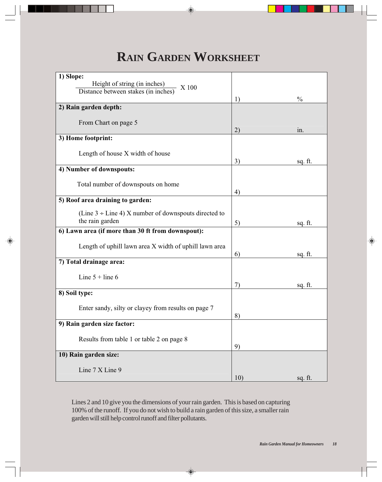## **RAIN GARDEN WORKSHEET**

| 1) Slope:                                                 |     |               |
|-----------------------------------------------------------|-----|---------------|
| Height of string (in inches)<br>X 100                     |     |               |
| Distance between stakes (in inches)                       | 1)  | $\frac{0}{0}$ |
| 2) Rain garden depth:                                     |     |               |
|                                                           |     |               |
| From Chart on page 5                                      | 2)  | in.           |
| 3) Home footprint:                                        |     |               |
|                                                           |     |               |
| Length of house X width of house                          | 3)  |               |
| 4) Number of downspouts:                                  |     | sq. ft.       |
|                                                           |     |               |
| Total number of downspouts on home                        |     |               |
| 5) Roof area draining to garden:                          | 4)  |               |
|                                                           |     |               |
| (Line $3 \div$ Line 4) X number of downspouts directed to |     |               |
| the rain garden                                           | 5)  | sq. ft.       |
| 6) Lawn area (if more than 30 ft from downspout):         |     |               |
| Length of uphill lawn area X width of uphill lawn area    |     |               |
|                                                           | 6)  | sq. ft.       |
| 7) Total drainage area:                                   |     |               |
| Line $5 + line 6$                                         |     |               |
|                                                           | 7)  | sq. ft.       |
| 8) Soil type:                                             |     |               |
| Enter sandy, silty or clayey from results on page 7       |     |               |
|                                                           | 8)  |               |
| 9) Rain garden size factor:                               |     |               |
|                                                           |     |               |
| Results from table 1 or table 2 on page 8                 | 9)  |               |
| 10) Rain garden size:                                     |     |               |
|                                                           |     |               |
| Line 7 X Line 9                                           | 10) | sq. ft.       |

Lines 2 and 10 give you the dimensions of your rain garden. This is based on capturing 100% of the runoff. If you do not wish to build a rain garden of this size, a smaller rain garden will still help control runoff and filter pollutants.